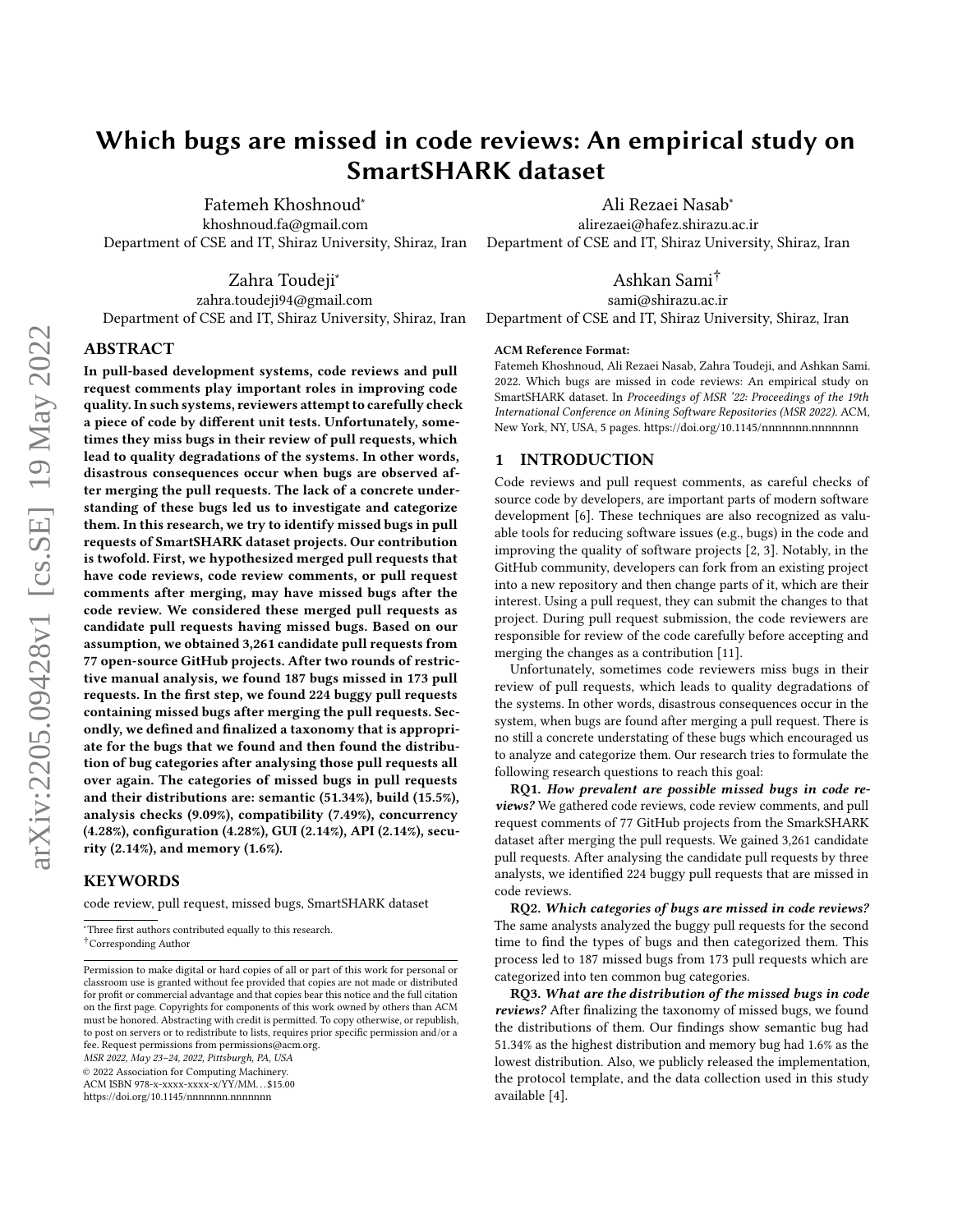# Which bugs are missed in code reviews: An empirical study on SmartSHARK dataset

Fatemeh Khoshnoud<sup>∗</sup> khoshnoud.fa@gmail.com Department of CSE and IT, Shiraz University, Shiraz, Iran

Zahra Toudeji<sup>∗</sup>

zahra.toudeji94@gmail.com Department of CSE and IT, Shiraz University, Shiraz, Iran

#### ABSTRACT

In pull-based development systems, code reviews and pull request comments play important roles in improving code quality. In such systems, reviewers attempt to carefully check a piece of code by different unit tests. Unfortunately, sometimes they miss bugs in their review of pull requests, which lead to quality degradations of the systems. In other words, disastrous consequences occur when bugs are observed after merging the pull requests. The lack of a concrete understanding of these bugs led us to investigate and categorize them. In this research, we try to identify missed bugs in pull requests of SmartSHARK dataset projects. Our contribution is twofold. First, we hypothesized merged pull requests that have code reviews, code review comments, or pull request comments after merging, may have missed bugs after the code review. We considered these merged pull requests as candidate pull requests having missed bugs. Based on our assumption, we obtained 3,261 candidate pull requests from 77 open-source GitHub projects. After two rounds of restrictive manual analysis, we found 187 bugs missed in 173 pull requests. In the first step, we found 224 buggy pull requests containing missed bugs after merging the pull requests. Secondly, we defined and finalized a taxonomy that is appropriate for the bugs that we found and then found the distribution of bug categories after analysing those pull requests all over again. The categories of missed bugs in pull requests and their distributions are: semantic (51.34%), build (15.5%), analysis checks (9.09%), compatibility (7.49%), concurrency (4.28%), configuration (4.28%), GUI (2.14%), API (2.14%), security (2.14%), and memory (1.6%).

## KEYWORDS

code review, pull request, missed bugs, SmartSHARK dataset

MSR 2022, May 23–24, 2022, Pittsburgh, PA, USA

© 2022 Association for Computing Machinery.

ACM ISBN 978-x-xxxx-xxxx-x/YY/MM. . . \$15.00

<https://doi.org/10.1145/nnnnnnn.nnnnnnn>

Ali Rezaei Nasab<sup>∗</sup> alirezaei@hafez.shirazu.ac.ir Department of CSE and IT, Shiraz University, Shiraz, Iran

# Ashkan Sami†

sami@shirazu.ac.ir

Department of CSE and IT, Shiraz University, Shiraz, Iran

#### ACM Reference Format:

Fatemeh Khoshnoud, Ali Rezaei Nasab, Zahra Toudeji, and Ashkan Sami. 2022. Which bugs are missed in code reviews: An empirical study on SmartSHARK dataset. In Proceedings of MSR '22: Proceedings of the 19th International Conference on Mining Software Repositories (MSR 2022). ACM, New York, NY, USA, [5](#page-4-0) pages.<https://doi.org/10.1145/nnnnnnn.nnnnnnn>

# 1 INTRODUCTION

Code reviews and pull request comments, as careful checks of source code by developers, are important parts of modern software development [\[6\]](#page-4-1). These techniques are also recognized as valuable tools for reducing software issues (e.g., bugs) in the code and improving the quality of software projects [\[2,](#page-4-2) [3\]](#page-4-3). Notably, in the GitHub community, developers can fork from an existing project into a new repository and then change parts of it, which are their interest. Using a pull request, they can submit the changes to that project. During pull request submission, the code reviewers are responsible for review of the code carefully before accepting and merging the changes as a contribution [\[11\]](#page-4-4).

Unfortunately, sometimes code reviewers miss bugs in their review of pull requests, which leads to quality degradations of the systems. In other words, disastrous consequences occur in the system, when bugs are found after merging a pull request. There is no still a concrete understating of these bugs which encouraged us to analyze and categorize them. Our research tries to formulate the following research questions to reach this goal:

RQ1. How prevalent are possible missed bugs in code reviews? We gathered code reviews, code review comments, and pull request comments of 77 GitHub projects from the SmarkSHARK dataset after merging the pull requests. We gained 3,261 candidate pull requests. After analysing the candidate pull requests by three analysts, we identified 224 buggy pull requests that are missed in code reviews.

RQ2. Which categories of bugs are missed in code reviews? The same analysts analyzed the buggy pull requests for the second time to find the types of bugs and then categorized them. This process led to 187 missed bugs from 173 pull requests which are categorized into ten common bug categories.

RQ3. What are the distribution of the missed bugs in code reviews? After finalizing the taxonomy of missed bugs, we found the distributions of them. Our findings show semantic bug had 51.34% as the highest distribution and memory bug had 1.6% as the lowest distribution. Also, we publicly released the implementation, the protocol template, and the data collection used in this study available [\[4\]](#page-4-5).

<sup>∗</sup>Three first authors contributed equally to this research.

<sup>†</sup>Corresponding Author

Permission to make digital or hard copies of all or part of this work for personal or classroom use is granted without fee provided that copies are not made or distributed for profit or commercial advantage and that copies bear this notice and the full citation on the first page. Copyrights for components of this work owned by others than ACM must be honored. Abstracting with credit is permitted. To copy otherwise, or republish, to post on servers or to redistribute to lists, requires prior specific permission and/or a fee. Request permissions from permissions@acm.org.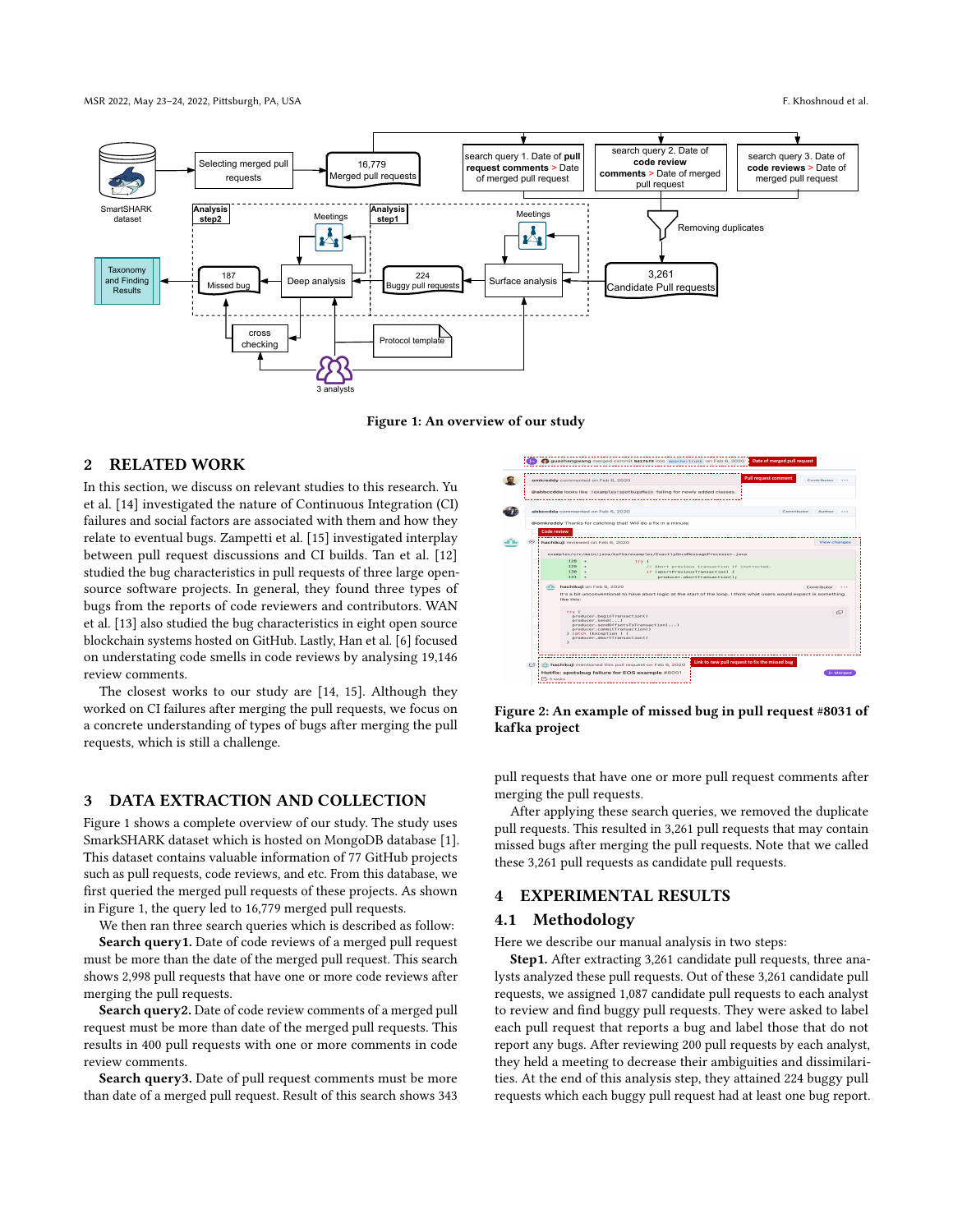<span id="page-1-0"></span>

Figure 1: An overview of our study

# 2 RELATED WORK

In this section, we discuss on relevant studies to this research. Yu et al. [\[14\]](#page-4-6) investigated the nature of Continuous Integration (CI) failures and social factors are associated with them and how they relate to eventual bugs. Zampetti et al. [\[15\]](#page-4-7) investigated interplay between pull request discussions and CI builds. Tan et al. [\[12\]](#page-4-8) studied the bug characteristics in pull requests of three large opensource software projects. In general, they found three types of bugs from the reports of code reviewers and contributors. WAN et al. [\[13\]](#page-4-9) also studied the bug characteristics in eight open source blockchain systems hosted on GitHub. Lastly, Han et al. [\[6\]](#page-4-1) focused on understating code smells in code reviews by analysing 19,146 review comments.

The closest works to our study are [\[14,](#page-4-6) [15\]](#page-4-7). Although they worked on CI failures after merging the pull requests, we focus on a concrete understanding of types of bugs after merging the pull requests, which is still a challenge.

## 3 DATA EXTRACTION AND COLLECTION

Figure [1](#page-1-0) shows a complete overview of our study. The study uses SmarkSHARK dataset which is hosted on MongoDB database [\[1\]](#page-4-10). This dataset contains valuable information of 77 GitHub projects such as pull requests, code reviews, and etc. From this database, we first queried the merged pull requests of these projects. As shown in Figure [1,](#page-1-0) the query led to 16,779 merged pull requests.

We then ran three search queries which is described as follow:

Search query1. Date of code reviews of a merged pull request must be more than the date of the merged pull request. This search shows 2,998 pull requests that have one or more code reviews after merging the pull requests.

Search query2. Date of code review comments of a merged pull request must be more than date of the merged pull requests. This results in 400 pull requests with one or more comments in code review comments.

Search query3. Date of pull request comments must be more than date of a merged pull request. Result of this search shows 343

<span id="page-1-1"></span>

Figure 2: An example of missed bug in pull request #8031 of kafka project

pull requests that have one or more pull request comments after merging the pull requests.

After applying these search queries, we removed the duplicate pull requests. This resulted in 3,261 pull requests that may contain missed bugs after merging the pull requests. Note that we called these 3,261 pull requests as candidate pull requests.

#### 4 EXPERIMENTAL RESULTS

#### <span id="page-1-2"></span>4.1 Methodology

Here we describe our manual analysis in two steps:

Step1. After extracting 3,261 candidate pull requests, three analysts analyzed these pull requests. Out of these 3,261 candidate pull requests, we assigned 1,087 candidate pull requests to each analyst to review and find buggy pull requests. They were asked to label each pull request that reports a bug and label those that do not report any bugs. After reviewing 200 pull requests by each analyst, they held a meeting to decrease their ambiguities and dissimilarities. At the end of this analysis step, they attained 224 buggy pull requests which each buggy pull request had at least one bug report.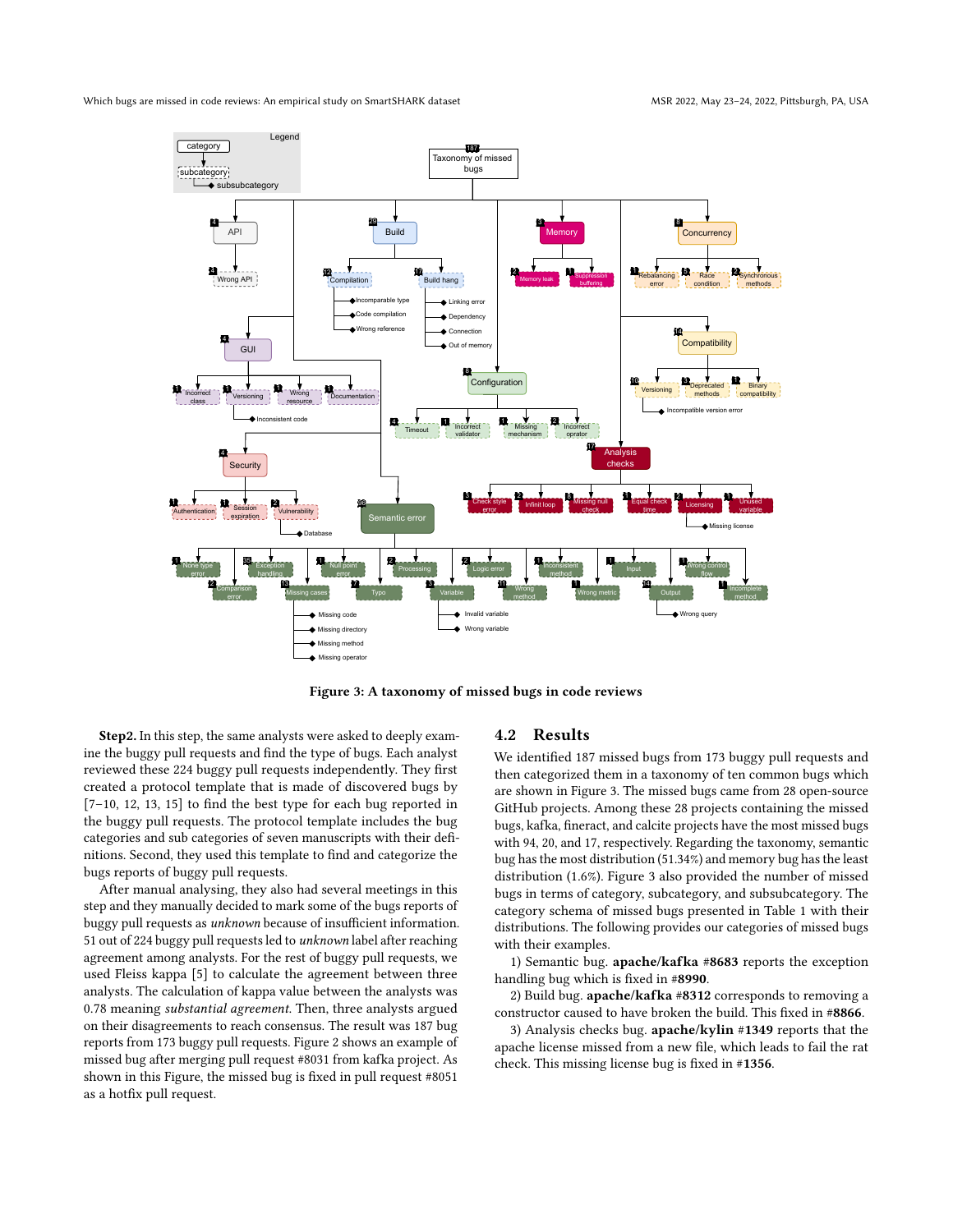<span id="page-2-0"></span>Which bugs are missed in code reviews: An empirical study on SmartSHARK dataset MSR 2022, MAY 2022, May 23-24, 2022, Pittsburgh, PA, USA



Figure 3: A taxonomy of missed bugs in code reviews

Step2. In this step, the same analysts were asked to deeply examine the buggy pull requests and find the type of bugs. Each analyst reviewed these 224 buggy pull requests independently. They first created a protocol template that is made of discovered bugs by [\[7](#page-4-11)[–10,](#page-4-12) [12,](#page-4-8) [13,](#page-4-9) [15\]](#page-4-7) to find the best type for each bug reported in the buggy pull requests. The protocol template includes the bug categories and sub categories of seven manuscripts with their definitions. Second, they used this template to find and categorize the bugs reports of buggy pull requests.

After manual analysing, they also had several meetings in this step and they manually decided to mark some of the bugs reports of buggy pull requests as unknown because of insufficient information. 51 out of 224 buggy pull requests led to unknown label after reaching agreement among analysts. For the rest of buggy pull requests, we used Fleiss kappa [\[5\]](#page-4-13) to calculate the agreement between three analysts. The calculation of kappa value between the analysts was 0.78 meaning substantial agreement. Then, three analysts argued on their disagreements to reach consensus. The result was 187 bug reports from 173 buggy pull requests. Figure [2](#page-1-1) shows an example of missed bug after merging pull request #8031 from kafka project. As shown in this Figure, the missed bug is fixed in pull request #8051 as a hotfix pull request.

# 4.2 Results

We identified 187 missed bugs from 173 buggy pull requests and then categorized them in a taxonomy of ten common bugs which are shown in Figure [3.](#page-2-0) The missed bugs came from 28 open-source GitHub projects. Among these 28 projects containing the missed bugs, kafka, fineract, and calcite projects have the most missed bugs with 94, 20, and 17, respectively. Regarding the taxonomy, semantic bug has the most distribution (51.34%) and memory bug has the least distribution (1.6%). Figure [3](#page-2-0) also provided the number of missed bugs in terms of category, subcategory, and subsubcategory. The category schema of missed bugs presented in Table [1](#page-3-0) with their distributions. The following provides our categories of missed bugs with their examples.

1) Semantic bug. apache/kafka #[8683](https://github.com/apache/kafka/pull/8683) reports the exception handling bug which is fixed in #[8990](https://github.com/apache/kafka/pull/8990).

2) Build bug. apache/kafka #[8312](https://github.com/apache/kafka/issues/8312) corresponds to removing a constructor caused to have broken the build. This fixed in #[8866](https://github.com/apache/kafka/pull/8866).

3) Analysis checks bug. apache/kylin #[1349](https://github.com/apache/kylin/pull/1349) reports that the apache license missed from a new file, which leads to fail the rat check. This missing license bug is fixed in #[1356](https://github.com/apache/kylin/pull/1356).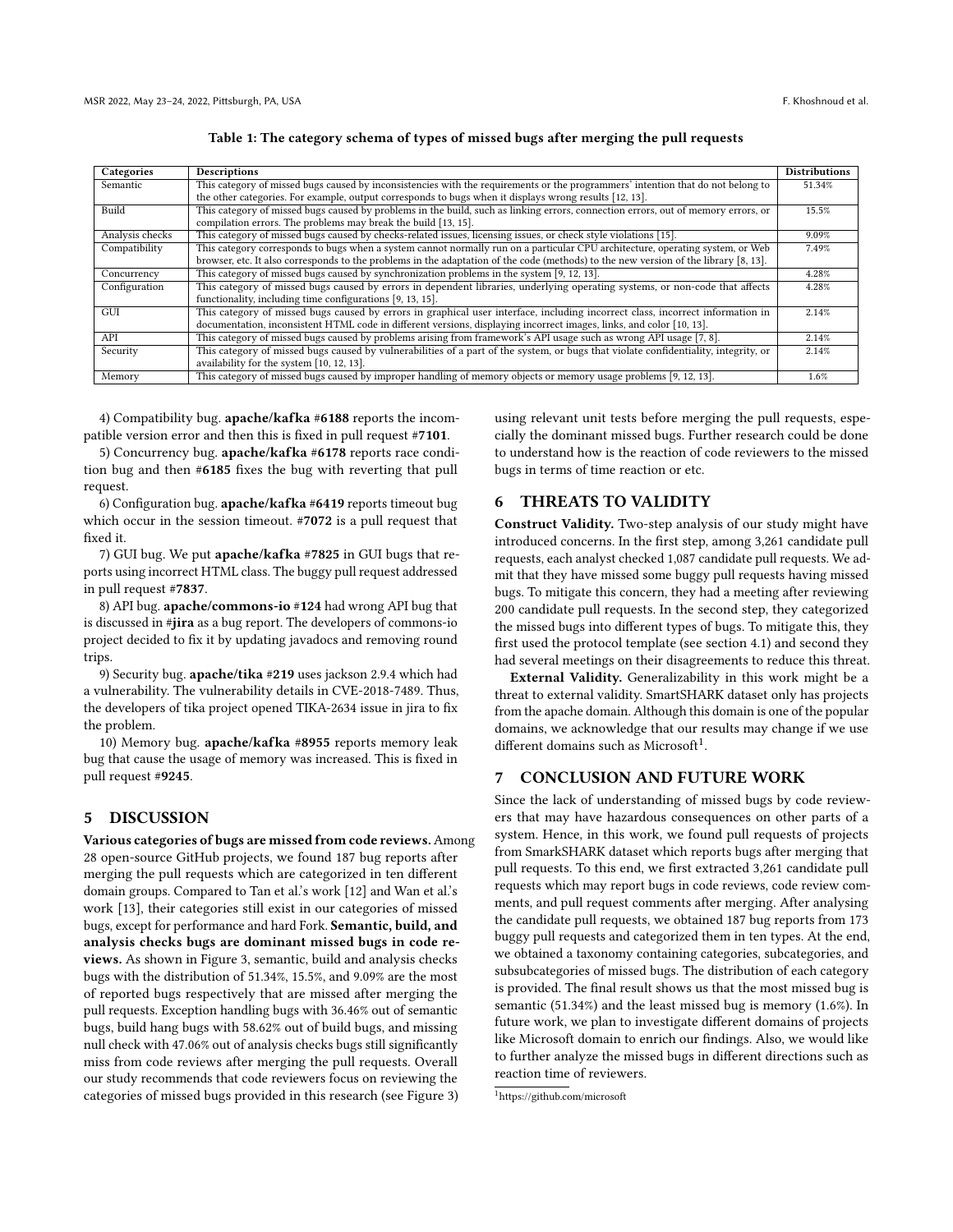<span id="page-3-0"></span>

| Categories      | Descriptions                                                                                                                         | <b>Distributions</b> |
|-----------------|--------------------------------------------------------------------------------------------------------------------------------------|----------------------|
| Semantic        | This category of missed bugs caused by inconsistencies with the requirements or the programmers' intention that do not belong to     |                      |
|                 | the other categories. For example, output corresponds to bugs when it displays wrong results [12, 13].                               |                      |
| Build           | This category of missed bugs caused by problems in the build, such as linking errors, connection errors, out of memory errors, or    | 15.5%                |
|                 | compilation errors. The problems may break the build [13, 15].                                                                       |                      |
| Analysis checks | This category of missed bugs caused by checks-related issues, licensing issues, or check style violations [15].                      | 9.09%                |
| Compatibility   | This category corresponds to bugs when a system cannot normally run on a particular CPU architecture, operating system, or Web       | 7.49%                |
|                 | browser, etc. It also corresponds to the problems in the adaptation of the code (methods) to the new version of the library [8, 13]. |                      |
| Concurrency     | This category of missed bugs caused by synchronization problems in the system [9, 12, 13].                                           | 4.28%                |
| Configuration   | This category of missed bugs caused by errors in dependent libraries, underlying operating systems, or non-code that affects         | 4.28%                |
|                 | functionality, including time configurations [9, 13, 15].                                                                            |                      |
| GUI             | This category of missed bugs caused by errors in graphical user interface, including incorrect class, incorrect information in       | 2.14%                |
|                 | documentation, inconsistent HTML code in different versions, displaying incorrect images, links, and color [10, 13].                 |                      |
| API             | This category of missed bugs caused by problems arising from framework's API usage such as wrong API usage [7, 8].                   | 2.14%                |
| Security        | This category of missed bugs caused by vulnerabilities of a part of the system, or bugs that violate confidentiality, integrity, or  | 2.14%                |
|                 | availability for the system [10, 12, 13].                                                                                            |                      |
| Memory          | This category of missed bugs caused by improper handling of memory objects or memory usage problems [9, 12, 13].                     | 1.6%                 |

| Table 1: The category schema of types of missed bugs after merging the pull requests |  |  |
|--------------------------------------------------------------------------------------|--|--|
|                                                                                      |  |  |

4) Compatibility bug. apache/kafka #[6188](https://github.com/apache/kafka/pull/6188) reports the incompatible version error and then this is fixed in pull request #[7101](https://github.com/apache/kafka/pull/7101).

5) Concurrency bug. apache/kafka #[6178](https://github.com/apache/kafka/pull/6178) reports race condition bug and then #[6185](https://github.com/apache/kafka/pull/6185) fixes the bug with reverting that pull request.

6) Configuration bug. apache/kafka #[6419](https://github.com/apache/kafka/issues/6419) reports timeout bug which occur in the session timeout. #[7072](https://github.com/apache/kafka/issues/7072) is a pull request that fixed it.

7) GUI bug. We put apache/kafka #[7825](https://github.com/apache/kafka/pull/7825) in GUI bugs that reports using incorrect HTML class. The buggy pull request addressed in pull request #[7837](https://github.com/apache/kafka/pull/7837).

8) API bug. apache/commons-io #[124](https://github.com/apache/commons-io/pull/124) had wrong API bug that is discussed in #[jira](https://issues.apache.org/jira/browse/IO-689) as a bug report. The developers of commons-io project decided to fix it by updating javadocs and removing round trips.

9) Security bug. apache/tika #[219](https://github.com/apache/tika/pull/219) uses jackson 2.9.4 which had a vulnerability. The vulnerability details in [CVE-2018-7489.](https://nvd.nist.gov/vuln/detail/CVE-2018-7489) Thus, the developers of tika project opened [TIKA-2634](https://issues.apache.org/jira/browse/TIKA-2634) issue in jira to fix the problem.

10) Memory bug. apache/kafka #[8955](https://github.com/apache/kafka/issues/8955) reports memory leak bug that cause the usage of memory was increased. This is fixed in pull request #[9245](https://github.com/apache/kafka/pull/9245).

## 5 DISCUSSION

Various categories of bugs are missed from code reviews.Among 28 open-source GitHub projects, we found 187 bug reports after merging the pull requests which are categorized in ten different domain groups. Compared to Tan et al.'s work [\[12\]](#page-4-8) and Wan et al.'s work [\[13\]](#page-4-9), their categories still exist in our categories of missed bugs, except for performance and hard Fork. Semantic, build, and analysis checks bugs are dominant missed bugs in code reviews. As shown in Figure [3,](#page-2-0) semantic, build and analysis checks bugs with the distribution of 51.34%, 15.5%, and 9.09% are the most of reported bugs respectively that are missed after merging the pull requests. Exception handling bugs with 36.46% out of semantic bugs, build hang bugs with 58.62% out of build bugs, and missing null check with 47.06% out of analysis checks bugs still significantly miss from code reviews after merging the pull requests. Overall our study recommends that code reviewers focus on reviewing the categories of missed bugs provided in this research (see Figure [3\)](#page-2-0)

using relevant unit tests before merging the pull requests, especially the dominant missed bugs. Further research could be done to understand how is the reaction of code reviewers to the missed bugs in terms of time reaction or etc.

## 6 THREATS TO VALIDITY

Construct Validity. Two-step analysis of our study might have introduced concerns. In the first step, among 3,261 candidate pull requests, each analyst checked 1,087 candidate pull requests. We admit that they have missed some buggy pull requests having missed bugs. To mitigate this concern, they had a meeting after reviewing 200 candidate pull requests. In the second step, they categorized the missed bugs into different types of bugs. To mitigate this, they first used the protocol template (see section [4.1\)](#page-1-2) and second they had several meetings on their disagreements to reduce this threat.

External Validity. Generalizability in this work might be a threat to external validity. SmartSHARK dataset only has projects from the apache domain. Although this domain is one of the popular domains, we acknowledge that our results may change if we use different domains such as Microsoft<sup>[1](#page-3-1)</sup>.

# 7 CONCLUSION AND FUTURE WORK

Since the lack of understanding of missed bugs by code reviewers that may have hazardous consequences on other parts of a system. Hence, in this work, we found pull requests of projects from SmarkSHARK dataset which reports bugs after merging that pull requests. To this end, we first extracted 3,261 candidate pull requests which may report bugs in code reviews, code review comments, and pull request comments after merging. After analysing the candidate pull requests, we obtained 187 bug reports from 173 buggy pull requests and categorized them in ten types. At the end, we obtained a taxonomy containing categories, subcategories, and subsubcategories of missed bugs. The distribution of each category is provided. The final result shows us that the most missed bug is semantic (51.34%) and the least missed bug is memory (1.6%). In future work, we plan to investigate different domains of projects like Microsoft domain to enrich our findings. Also, we would like to further analyze the missed bugs in different directions such as reaction time of reviewers.

<span id="page-3-1"></span><sup>1</sup><https://github.com/microsoft>